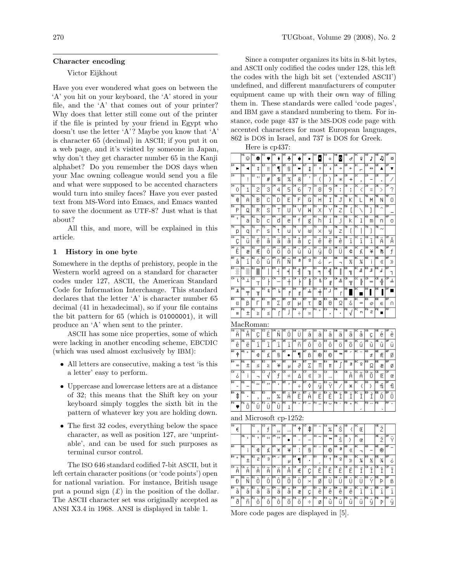#### Character encoding

# Victor Eijkhout

Have you ever wondered what goes on between the 'A' you hit on your keyboard, the 'A' stored in your file, and the 'A' that comes out of your printer? Why does that letter still come out of the printer if the file is printed by your friend in Egypt who doesn't use the letter 'A'? Maybe you know that 'A' is character 65 (decimal) in ASCII; if you put it on a web page, and it's visited by someone in Japan, why don't they get character number 65 in the Kanji alphabet? Do you remember the DOS days when your Mac owning colleague would send you a file and what were supposed to be accented characters would turn into smiley faces? Have you ever pasted text from MS-Word into Emacs, and Emacs wanted to save the document as UTF-8? Just what is that about?

All this, and more, will be explained in this article.

#### 1 History in one byte

Somewhere in the depths of prehistory, people in the Western world agreed on a standard for character codes under 127, ASCII, the American Standard Code for Information Interchange. This standard declares that the letter 'A' is character number 65 decimal (41 in hexadecimal), so if your file contains the bit pattern for 65 (which is 01000001), it will produce an 'A' when sent to the printer.

ASCII has some nice properties, some of which were lacking in another encoding scheme, EBCDIC (which was used almost exclusively by IBM):

- All letters are consecutive, making a test 'is this a letter' easy to perform.
- Uppercase and lowercase letters are at a distance of 32; this means that the Shift key on your keyboard simply toggles the sixth bit in the pattern of whatever key you are holding down.
- The first 32 codes, everything below the space character, as well as position 127, are 'unprintable', and can be used for such purposes as terminal cursor control.

The ISO 646 standard codified 7-bit ASCII, but it left certain character positions (or 'code points') open for national variation. For instance, British usage put a pound sign  $(\mathcal{L})$  in the position of the dollar. The ASCII character set was originally accepted as ANSI X3.4 in 1968. ANSI is displayed in table [1.](#page-1-0)

Since a computer organizes its bits in 8-bit bytes, and ASCII only codified the codes under 128, this left the codes with the high bit set ('extended ASCII') undefined, and different manufacturers of computer equipment came up with their own way of filling them in. These standards were called 'code pages', and IBM gave a standard numbering to them. For instance, code page 437 is the MS-DOS code page with accented characters for most European languages, 862 is DOS in Israel, and 737 is DOS for Greek.

Here is cp437:

|              | 01                      | ☺                               |    | Θ                  |    |                           |     |          |    | ÷                     |    |    |    |                |    | ۰               |    |                                |    | o            |    | ď       |                         | ¥              |    |   |    | ŋ              |    | ×  |
|--------------|-------------------------|---------------------------------|----|--------------------|----|---------------------------|-----|----------|----|-----------------------|----|----|----|----------------|----|-----------------|----|--------------------------------|----|--------------|----|---------|-------------------------|----------------|----|---|----|----------------|----|----|
|              | 11                      |                                 |    | ↥                  |    | Щ                         |     | 1        |    | s                     |    |    |    | ↨              |    | Ť               |    | ¢                              |    | →            |    |         |                         |                |    |   |    |                |    |    |
| 20           | 21                      | ļ                               |    | ū                  |    | #                         | 24  | \$       |    | X                     |    | 8  | 27 | $\mathbf{I}$   | 28 | (               | 29 | )                              | ZA | Ж            | ZB | $^{+}$  | ΣC                      |                | 20 |   |    |                |    |    |
| 30<br>0      | 31                      | 1                               |    | 2                  |    | 3                         | ञ्च | 4        |    | 5                     |    | 6  | 37 | 7              |    | 8               | 39 | 9                              | 3Ĥ | ÷            |    | ;       | ₹σ                      | ,<br>く         | 3D | Ξ |    | ⋋              |    | ?  |
| 40<br>@      | 41                      | A                               |    | В                  |    | C                         |     | D        |    | E                     |    | F  |    | G              |    | Η               |    | I                              | ЧĤ | J            |    | Κ       |                         | L              | 40 | М |    | Ν              |    | 0  |
| 50           | 51                      |                                 | 52 |                    |    |                           | 54  |          |    |                       |    |    | 51 |                |    |                 |    |                                |    |              |    |         | 50                      |                | 50 |   | 56 | λ              | 51 |    |
| Ρ<br>60<br>ţ | 61                      | Q                               |    | R                  |    | S                         |     | Τ        |    | U                     |    | ٧  |    | И              |    | X               |    | Υ                              |    | Z            | 58 | [       |                         |                |    | l |    |                |    |    |
| 70           | 71                      | а                               |    | b                  |    | с                         |     | d        |    | е                     |    | f  |    | g              |    | h               |    | i                              |    | j            |    | K       |                         | l              |    | m | 7E | n<br>Ν         |    | о  |
| р<br>80      | 81                      | q                               | XZ | r                  |    | s                         |     | t        |    | u                     |    | v  |    | ω              |    | ×               |    | у                              | 8Â | Z            | 8  | ٤       | 8C                      |                | 8D | 3 |    |                |    |    |
| Ç<br>90      |                         | ü                               | 92 | é                  |    | â                         | 94  | ä        | 35 | ã                     |    | å  |    | Ç              |    | ê               |    | ë                              |    | è            | 96 | ï       |                         | î              | 90 | ì | 9E | Ä              |    | Å  |
| É            | 91                      | æ                               |    | Æ                  |    | ô                         |     | ő        |    | ò                     |    | û  |    | ù              |    | ÿ               | 99 | ö                              | 98 | ü            |    | ¢       |                         | £              |    | ¥ |    | ۱р             |    | f  |
| AO<br>á      | Ĥ1                      | í                               | AΣ | ó                  |    | ú                         | ĤЧ  | ñ        | A5 | $\tilde{\mathsf{N}}$  |    | è  | Ĥ7 | $\overline{2}$ |    | ċ               | A9 | г                              | AA |              | AB | X       | ĤC                      | X              | AD | i | ĤE | 《              | »  |    |
| BO<br>R      | 81                      | III                             | BZ |                    |    |                           | B4  |          |    | ╡                     |    | ╢  |    | ╖              |    | ╕               |    | ╣                              | BA | ∥            |    | ╗       | вō                      | L              | BD | Щ | BE | $\overline{a}$ |    | ٦  |
| CO<br>L      | $\overline{\mathbf{a}}$ | $\perp$                         | æ  | Т                  |    |                           |     |          | cs | ł                     |    | ŀ  |    | $\mathbb{I}$   |    | Ŀ               | C9 | ſř                             | CA | Щ            |    | ╥       |                         | $\mathbb{F}$   | CD |   |    | ╬              |    | T  |
| DO<br>Щ      | 01                      | ₸                               | DZ | Τ                  | D3 | L                         | D4  | F        | D5 | F                     | D6 | I  | D7 | ╧              | D8 | $\frac{1}{\pm}$ | D9 | Ï                              | DĤ | Г            | DB |         | DC                      |                | DD |   | DE |                |    |    |
| EO<br>α      | E1                      | β                               | EZ | Г                  | E  | Π                         |     | Σ        | ES | σ                     | ĒG | μ  | ET | τ              |    | Φ               | E9 | θ                              | EA | Ω            | EB | δ       | EC                      | 8              | ED | ø | ĒĒ | E              |    | Л  |
| FO<br>Ξ      | F1                      | ±                               | FZ | ≥                  | 雨  | ≤                         | F4  | ſ        | F5 | J                     |    | ÷  | F7 | z              | F8 | 0               | F9 |                                | FA |              | FB | √       | FC                      | 'n             | FD | 2 | FE |                | ᇎ  |    |
|              |                         |                                 |    |                    |    |                           |     |          |    |                       |    |    |    |                |    |                 |    |                                |    |              |    |         |                         |                |    |   |    |                |    |    |
| MacRoman:    |                         |                                 |    |                    |    |                           |     |          |    |                       |    |    |    |                |    |                 |    |                                |    |              |    |         |                         |                |    |   |    |                |    |    |
| Ä            |                         | Å                               |    | С                  |    | É                         |     | Ñ        |    | ö                     |    | ü  |    | á              |    | ã               |    | â                              |    | ä            |    | ã       |                         | å              |    | Ç |    | é              |    | è  |
| 90<br>ê      | 91                      | ë                               | 92 | í                  | 93 | $\overline{\overline{i}}$ | 94  | î        |    | $\overline{\ddot{i}}$ |    | ñ  |    | ó              | 98 | ò               | 99 | ô                              | 9A | ő            | 96 | õ       | 90                      | ú              | 9D | ù | 9E | û              |    | ü  |
| AO<br>†      | A1 o                    |                                 | AZ | ¢                  | A3 | £                         | A4  | ŝ        | AS | ٠                     |    | 1  | A7 | Β              | A8 | ®               | A9 | ©                              | ĤĤ | $\mathbf{r}$ | AB | J.      | AC                      |                | AD | ≠ | AE | Æ              |    | Ø  |
| œ            | 81                      | ±                               | Σ  | ≤                  |    | ≥                         | BЧ  | ¥        |    | μ                     |    | д  |    | Σ              |    | Π               |    | Π                              | BA | ſ            |    | ₫       |                         | $\overline{Q}$ |    | Ω |    | æ              |    | ø  |
| ċ            | $\overline{\mathbf{d}}$ | İ                               | Œ  |                    | C3 |                           | CЧ  | f        | CS | ×                     |    | Δ  | C7 | 《              |    | ≫               | C9 |                                | CA |              | Œ  | Ã       |                         | $\tilde{A}$    | CD | õ | СE | Œ              |    | œ  |
| 00           | 01                      |                                 | DZ | $\alpha$           | D3 | ,,                        | D4  | ć        | 05 | ,                     | 06 | ÷  | 07 | ◊              | D8 | ÿ               | DS | $\overline{\ddot{\mathrm{v}}}$ | DA |              | DB | ¤       | DC                      | ⟨              | 00 | ١ | DE | fi             |    | fl |
| ΕO<br>‡      | Ξ1                      |                                 |    |                    |    | ,,                        |     | ℅        |    | Â                     |    | Ê  |    | Á              |    | Ë               | Е9 | È                              | EĤ | Í            |    | Î       |                         | Ï              | ED | Ì |    | ó              |    | ô  |
| u            | F1                      | ò                               | FZ | Ú                  |    | Û                         |     | ũ        |    | ı                     | 7  | Ţ, | F7 |                | F8 |                 | F9 | U                              |    |              | FB | ō       | FC                      |                | FD |   | FE |                |    |    |
| $_{\rm and}$ |                         |                                 |    | Microsoft cp-1252: |    |                           |     |          |    |                       |    |    |    |                |    |                 |    |                                |    |              |    |         |                         |                |    |   |    |                |    |    |
| 80<br>€      |                         |                                 |    |                    |    | f                         |     |          |    |                       |    | ŧ  |    | \$             |    |                 |    | ℅                              |    | š            |    | ⟨       |                         | Œ              |    |   |    | ž              |    |    |
|              | 91                      | ć                               | 92 |                    | 93 | $\alpha$                  |     | ,,<br>,, |    |                       |    |    |    |                |    |                 | 99 | 1H                             |    | š            | 98 |         |                         |                |    |   | ЭE | ž              |    | Ÿ  |
| AO           | Ĥ1                      |                                 | AZ |                    | A3 |                           | ĤЧ  |          | AS |                       | Ĥ6 |    |    |                | A8 | .,              | Ĥ9 |                                | ĤĤ | a            | AB | ١       | AC                      | œ              | AD |   | ĤE |                |    |    |
| BO<br>ø      | $_{E1}$                 | i                               | BZ | ¢<br>2             | B3 | £<br>з                    | B4  | Ħ        | B5 | ¥                     | BG | ł  | B7 | ŝ              | 88 |                 | B9 | ©<br>1                         | BĤ |              |    | «       | ВC                      |                | BD |   | BE | ®              |    |    |
| C0           | $\overline{\mathbf{u}}$ | ±                               | Œ  |                    |    |                           | č۲  |          |    | μ                     |    | 1  | Œ  |                |    |                 |    |                                | CA | ğ            |    | »<br>٠. | $\overline{\mathbf{c}}$ | X              | CD | X | Œ  | 犭              |    | نى |
| Ã<br>DO      | 01                      | Á                               | DZ | Â                  | 03 | Ã                         | DЧ  | Ä        | 05 | Å                     |    | Æ  | 07 | Ç              |    | È               | 09 | É                              | DA | Ê            |    | E       | DC                      | Ì              | DD | Í | DE | Î              |    | Ï  |
| Ð            |                         | $\overline{\tilde{\mathsf{N}}}$ |    | ò                  |    | ó                         |     | ô        |    | õ                     |    | ö  |    | $\times$       |    | ø               |    | ũ                              |    | Ú            |    | Ü       |                         | ü              |    | Ý |    | Þ              |    | ₿  |
| EO<br>ã      | E1                      | á                               | ΕZ | â                  | E3 | ã                         | E4  | ä        |    | å                     |    | æ  | E7 | Ç              | E8 | è               | ES | é                              | EĤ | ê            | EB | ë       | EC                      | ì              | ED | í | EE | î              |    | ï  |
| FO<br>ð      | FI                      | ñ                               | FZ | ò                  | F3 | ó                         |     | ô        |    | õ                     |    | ö  |    | ÷              |    | ø               | F9 | ũ                              |    | ú            |    | û       |                         | ü              |    | ý |    | Þ              |    | ÿ  |

More code pages are displayed in [\[5\]](#page-7-0).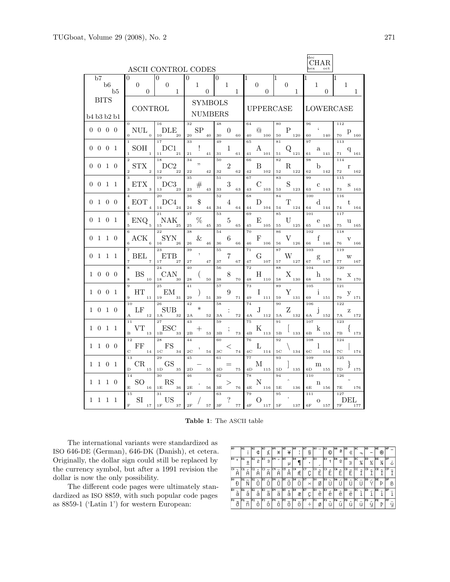|                                     |                                                                  | <b>ASCII CONTROL CODES</b>                    |                          |                         |                |                           |                |    |                       |                            |                       |                     | $_{\rm dec}$<br>hex    | CHAR<br>$_{\rm{oct}}$            |                        |                   |
|-------------------------------------|------------------------------------------------------------------|-----------------------------------------------|--------------------------|-------------------------|----------------|---------------------------|----------------|----|-----------------------|----------------------------|-----------------------|---------------------|------------------------|----------------------------------|------------------------|-------------------|
| b7<br>b6<br>b5                      | 0<br>$\overline{0}$<br>$\overline{0}$                            | 0<br>$\overline{0}$<br>1                      | $\overline{0}$           | $\mathbf{1}$            | $\overline{0}$ | $\theta$                  | $\mathbf{1}$   | 1  | 1                     | $\overline{0}$<br>$\theta$ | 1                     | $\overline{0}$<br>1 |                        | $\mathbf{1}$<br>$\boldsymbol{0}$ | 1                      | $\mathbf{1}$<br>1 |
| <b>BITS</b><br>b4 b3 b2 b1          | CONTROL                                                          |                                               |                          |                         |                | SYMBOLS<br><b>NUMBERS</b> |                |    |                       | <b>UPPERCASE</b>           |                       |                     |                        | <b>LOWERCASE</b>                 |                        |                   |
| $0\;\; 0\;\; 0\;\; 0$               | $\sigma$<br>NUL<br>$\sim$ 0                                      | 16<br>DLE<br>10<br>20                         | 32<br>20                 | $_{\rm SP}$             | 40             | 48<br>30                  | 0              | 60 | 64<br>40              | $^{\circ}$<br>100          | 80<br>50              | Ρ<br>120            | 96<br>60               | $\epsilon$<br>140                | 112<br>70              | р<br>160          |
| $0\quad 0$<br>$\overline{0}$<br>- 1 | $\overline{1}$<br>SOH<br>$\mathbf{1}$<br>$\overline{1}$          | 17<br>DC1<br>21<br>$1\,1$                     | 33<br>21                 | Ţ                       | $4\,1$         | 49<br>31                  | 1              | 61 | 65<br>41              | Α<br>101                   | 81<br>$5\,1$          | Q<br>121            | 97<br>61               | а<br>141                         | 113<br>71              | $q_{161}$         |
| 1 0<br>$0\quad 0$                   | $\overline{2}$<br><b>STX</b><br>$\overline{2}$<br>$\overline{2}$ | 18<br>DC2<br>12<br>22                         | 34<br>22                 | $, ,$                   | 42             | 50<br>32                  | $\overline{2}$ | 62 | 66<br>42              | B<br>102                   | 82<br>52              | R<br>122            | 98<br>62               | b<br>142                         | 114<br>72              | r<br>162          |
| 0 0 1 1                             | <b>ETX</b><br>3<br>$\overline{3}$                                | 19<br>DC3<br>23<br>13                         | 35<br>$^{\rm 23}$        | $_{\#}$                 | 43             | $5\,1$<br>33              | 3              | 63 | 67<br>43              | С<br>103                   | 83<br>$5\sqrt{3}$     | S<br>123            | 99<br>63               | $\mathbf{C}$<br>143              | 115<br>73              | S<br>163          |
| 0 1 0 0                             | $\overline{4}$<br>EOT<br>$\overline{A}$                          | $\bf{20}$<br>DC4<br>14<br>24                  | 36<br>24                 | \$                      | 44             | 52<br>34                  | 4              | 64 | 68<br>44              | D<br>104                   | 84<br>54              | т<br>124            | 100<br>64              | d<br>144                         | 116<br>74              | t.<br>164         |
| 1 0 1<br>0                          | $\overline{5}$<br>$\mbox{ENQ}_{_{5}}$<br>6                       | 21<br>NAK<br>$1\,5$<br>25<br>22               | 37<br>25<br>38           | $\%$                    | 45             | 53<br>35<br>54            | 5              | 65 | 69<br>45<br>70        | E<br>105                   | 85<br>55<br>86        | U<br>125            | 101<br>65<br>102       | е<br>145                         | 117<br>75<br>118       | u<br>165          |
| -1<br>1 0<br>0                      | ACK<br>6<br>$\,6\,$<br>7                                         | <b>SYN</b><br>$16\,$<br>26<br>$\overline{23}$ | 26<br>$\overline{39}$    | &                       | 46             | 36<br>$\overline{55}$     | 6              | 66 | 46<br>$\overline{71}$ | F<br>106                   | 56<br>$\overline{87}$ | V<br>126            | 66<br>103              | f<br>146                         | 76<br>119              | v<br>166          |
| 1 1 1<br>$\theta$                   | BEL<br>$\overline{7}$<br>$\overline{7}$<br>8                     | <b>ETB</b><br>27<br>17<br>24                  | $^{\rm 27}$              | $^\mathrm{^\mathrm{o}}$ | 47             | 37                        | 7              | 67 | 47<br>72              | G<br>107                   | 57                    | W<br>127            | 67<br>104              | g<br>147                         | 77                     | W<br>167          |
| 1 0 0 0                             | BS<br>10<br>8<br>$\overline{9}$                                  | <b>CAN</b><br>18<br>30<br>25                  | 40<br>$\bf{^{28}}$<br>41 |                         | $50\,$         | 56<br>38<br>57            | 8              | 70 | 48<br>73              | Н<br>110                   | 88<br>58<br>89        | Х<br>130            | 68<br>105              | h<br>150                         | 120<br>78<br>121       | Х<br>170          |
| $0\quad0\quad1$<br>1                | HТ<br>9<br>11<br>10                                              | ΕM<br>19<br>31<br>26                          | 29<br>42                 |                         | $5\,1$         | 39<br>58                  | 9              | 71 | 49<br>74              | T<br>111                   | 59<br>90              | Y<br>131            | 69<br>106              | Ť<br>$1\,5\,1$                   | 79<br>122              | у<br>171          |
| $\overline{0}$<br>1 0<br>1          | LF<br>A<br>$1\,2$<br>11                                          | <b>SUB</b><br>32<br>1A<br>27                  | 2A<br>43                 | $\ast$                  | 52             | 3A<br>59                  |                | 72 | 4A<br>75              | J.<br>112                  | $5\,\mathrm{A}$<br>91 | Ζ<br>132            | 6A<br>107              | J<br>152                         | 7A<br>123              | Ζ<br>172          |
| $\overline{0}$<br>1<br>1<br>- 1     | VТ<br>$_{\rm B}$<br>$1\,3$<br>12                                 | <b>ESC</b><br>33<br>$1\,\mathrm{B}$<br>28     | 2B<br>44                 | ┿                       | 53             | 3B<br>60                  | $\, ,$         | 73 | 4B<br>76              | K<br>113                   | 5B<br>92              | 133                 | 6B<br>108              | k<br>153                         | 7B<br>124              | 173               |
| -1<br>$0\quad 0$<br>1               | FF<br>Ċ<br>$1\,4$<br>$\overline{13}$                             | FS<br>1 <sub>C</sub><br>34<br>29              | 2 <sup>C</sup><br>45     | ,                       | 54             | 3 <sub>C</sub><br>61      | $\,<$          | 74 | 4C<br>77              | L<br>114                   | 5 <sub>C</sub><br>93  | 134                 | 6 <sub>C</sub><br>109  | 1<br>154                         | 7 <sup>C</sup><br>125  | 174               |
| -1<br>$\overline{0}$<br>- 1<br>1    | $_{\rm CR}$<br>D<br>$1\,5$                                       | GS<br>$1\,\mathrm{D}$<br>35                   | 2D                       |                         | 55             | 3D                        |                | 75 | 4D                    | М<br>$1\,1\,5$             | $5\,\mathrm{D}$       | 135                 | 6D                     | m<br>155                         | 7D                     | 175               |
| 1 0<br>-1<br>1                      | 14<br>SO <sub>1</sub><br>E<br>$16\,$                             | 30<br>$_{\rm RS}$<br>$1\,\mathrm{E}$<br>36    | 46<br>2E                 |                         | 56             | 62<br>$3\,\mathrm{E}$     | >              | 76 | 78<br>$4\mathrm{E}$   | Ν<br>116                   | 94<br>$5\,\mathrm{E}$ | 136                 | 110<br>$6\,\mathrm{E}$ | n<br>156                         | 126<br>7E              | 176               |
| 1<br>1<br>1<br>-1                   | 15<br><b>SI</b><br>$\mathbf F$<br>$1\,7$                         | 31<br>US<br>1F<br>37                          | 47<br>2F                 |                         | 57             | 63<br>3F                  | ?              | 77 | 79<br>$4\,\mathrm{F}$ | О<br>$1\,1\,7$             | 95<br>5F              | 137                 | 111<br>$6\,\mathrm{F}$ | O<br>$1\,5\,7$                   | 127<br>$7\,\mathrm{F}$ | DEL<br>177        |

<span id="page-1-0"></span>Table 1: The ASCII table

The international variants were standardized as ISO 646-DE (German), 646-DK (Danish), et cetera. Originally, the dollar sign could still be replaced by the currency symbol, but after a 1991 revision the dollar is now the only possibility.

The different code pages were ultimately standardized as ISO 8859, with such popular code pages as 8859-1 ('Latin 1') for western European:

|                            |     |                       |     | œ  |     |                       |           | ¤             |            |                       |                |          |      | s | lA8      |         | 1A 9 | ⊚  | IAA        | ā                           | IAB       |                      |            |          |            |   | RE         | ൘  |            |  |
|----------------------------|-----|-----------------------|-----|----|-----|-----------------------|-----------|---------------|------------|-----------------------|----------------|----------|------|---|----------|---------|------|----|------------|-----------------------------|-----------|----------------------|------------|----------|------------|---|------------|----|------------|--|
| BO<br>$\alpha$             | B1  |                       | IB2 | Þ  | B3  | 3                     | ाहिम      | ×             | IB5        | м                     | IB 6           |          | le 7 |   | lB≎      |         | lB9. |    | BA         | ō                           | ाडा       |                      | IBC.       | X        | <b>IBD</b> | X | BE         | 鯊  | <b>IBF</b> |  |
| СO<br>$\ddot{\phantom{1}}$ | IC1 |                       | cz  | ۸  | 103 | $\tilde{\phantom{a}}$ | Тсч       | $\cdots$<br>Α | ाड         | $\sim$                | IC6            | Æ        | 167  |   | Ic\$     | ÷.      | īсэ  | ٠  | ICA        | $\sim$                      | IСB       | $\ddot{\phantom{1}}$ | Icc        | $\sim$   | ICD.       | ٠ | <b>CE</b>  | ×. | İCF        |  |
| DO                         | lD1 | $\tilde{\phantom{a}}$ | lD2 | ۰. | ID3 |                       | Точ       | $\sim$        | <b>ID5</b> | $\tilde{\phantom{a}}$ | ID6            | $\cdots$ | lD7  | × | <b>D</b> |         | lD9  | ۰. | <b>TDA</b> | $\mathcal{L}_{\mathcal{A}}$ | DB        | ×                    | lDC        | $\cdots$ | <b>IDD</b> | × | DE         |    | IDF        |  |
| EO<br>á                    | E1  | а                     | IE2 | â  | E3  | ã                     | <b>E4</b> | ä             | <b>IES</b> | å                     | E6             | æ        | TE7  |   | TE⊗      | ۰.<br>e | IE9  | é  | <b>IEA</b> | ê                           | EB        | ٠<br>ë               | EC         |          | <b>IED</b> |   | <b>IEE</b> | ÷  | <b>IEF</b> |  |
| FO<br>ð                    | F1  | ñ                     | IF2 |    | F3  |                       | <b>F4</b> |               | <b>F5</b>  | $\sim$                | F <sub>6</sub> | ö        | IF7  |   | lF₿      |         | IF9  |    | FA         |                             | <b>FB</b> |                      | <b>IFC</b> |          | <b>FD</b>  |   | FE         |    | FF         |  |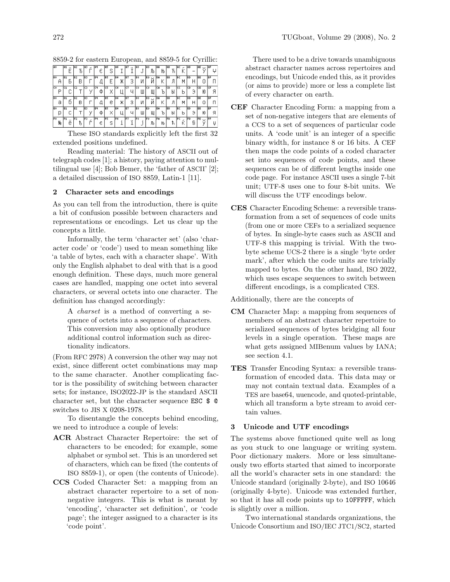| Ĥ0  |    | A1  | $\cdots$ | TA <sub>2</sub> |   | TA3 | - | <b>AH</b><br>Е  | IAS |   | <b>A6</b>  |   |     | 87 88 |     |   | <b>A</b> <sub>3</sub> | Љ                   | <b>AR</b>  | Њ | <b>AB</b>  |    | Inc. 2 |   | <b>AD</b>  |   |           | ن ME   | <b>AF</b>  |
|-----|----|-----|----------|-----------------|---|-----|---|-----------------|-----|---|------------|---|-----|-------|-----|---|-----------------------|---------------------|------------|---|------------|----|--------|---|------------|---|-----------|--------|------------|
| BO  | Α  | IB1 | n        | lB2.            |   | IB3 |   | ।हिम            | B5  |   | १८         | Ж | 187 | з     | lB⊗ |   | <b>IBS</b>            | ⊺ آ8∎ ب             |            | v | BB         |    | IBC.   |   | 18D        |   | IBE       |        | <b>IBF</b> |
| CO. | ⋼  | IC1 |          | Icz.            |   | 103 |   | ю<br>መ          | IC5 |   | ाटङ        |   | 167 |       | IC8 | Ш | IC9                   |                     | <b>CA</b>  | b | IСB        | DI | ю      |   | ICD.       |   | CE        | Ю      | ICF        |
| DO  | а  | ID1 |          | TD2             | R | ID3 |   | Точ             | 105 | е | <b>TD6</b> | Ж | 107 | з     | TD8 | и | TD <sub>3</sub>       | $\overline{a}$<br>И | <b>DA</b>  |   | 10B        |    | IDC.   | Μ | <b>DD</b>  |   | IDE       |        | <b>DF</b>  |
| EO  | р  | E1  |          | IE2             |   | IE3 |   | IE4<br>Œ        | IE5 |   | IE6        |   | IE7 |       | E*  | Ш | IE9                   |                     | <b>IEA</b> | ъ | <b>IEB</b> | ы  | IEC.   | ▫ | <b>IED</b> |   | IEE       | ю      | <b>IEF</b> |
| Fû  | ΝĿ | F1  | <br>е    | lF2             | h | IF3 |   | <b>IF4</b><br>е | IF5 |   | <b>IF6</b> |   | IF7 | v     | lF≋ |   | IF9                   | Љ                   | FA         | њ | <b>IFB</b> | ħ  | IFC    |   | <b>IFD</b> | g | <b>FE</b> | $\sim$ | IFF        |

8859-2 for eastern European, and 8859-5 for Cyrillic:

These ISO standards explicitly left the first 32 extended positions undefined.

Reading material: The history of ASCII out of telegraph codes [\[1\]](#page-7-1); a history, paying attention to multilingual use [\[4\]](#page-7-2); Bob Bemer, the 'father of ASCII' [\[2\]](#page-7-3); a detailed discussion of ISO 8859, Latin-1 [\[11\]](#page-7-4).

# 2 Character sets and encodings

As you can tell from the introduction, there is quite a bit of confusion possible between characters and representations or encodings. Let us clear up the concepts a little.

Informally, the term 'character set' (also 'character code' or 'code') used to mean something like 'a table of bytes, each with a character shape'. With only the English alphabet to deal with that is a good enough definition. These days, much more general cases are handled, mapping one octet into several characters, or several octets into one character. The definition has changed accordingly:

A charset is a method of converting a sequence of octets into a sequence of characters. This conversion may also optionally produce additional control information such as directionality indicators.

(From RFC 2978) A conversion the other way may not exist, since different octet combinations may map to the same character. Another complicating factor is the possibility of switching between character sets; for instance, ISO2022-JP is the standard ASCII character set, but the character sequence ESC \$ @ switches to JIS X 0208-1978.

To disentangle the concepts behind encoding, we need to introduce a couple of levels:

- ACR Abstract Character Repertoire: the set of characters to be encoded; for example, some alphabet or symbol set. This is an unordered set of characters, which can be fixed (the contents of ISO 8859-1), or open (the contents of Unicode).
- CCS Coded Character Set: a mapping from an abstract character repertoire to a set of nonnegative integers. This is what is meant by 'encoding', 'character set definition', or 'code page'; the integer assigned to a character is its 'code point'.

There used to be a drive towards unambiguous abstract character names across repertoires and encodings, but Unicode ended this, as it provides (or aims to provide) more or less a complete list of every character on earth.

- CEF Character Encoding Form: a mapping from a set of non-negative integers that are elements of a CCS to a set of sequences of particular code units. A 'code unit' is an integer of a specific binary width, for instance 8 or 16 bits. A CEF then maps the code points of a coded character set into sequences of code points, and these sequences can be of different lengths inside one code page. For instance ASCII uses a single 7-bit unit; UTF-8 uses one to four 8-bit units. We will discuss the UTF encodings below.
- CES Character Encoding Scheme: a reversible transformation from a set of sequences of code units (from one or more CEFs to a serialized sequence of bytes. In single-byte cases such as ASCII and UTF-8 this mapping is trivial. With the twobyte scheme UCS-2 there is a single 'byte order mark', after which the code units are trivially mapped to bytes. On the other hand, ISO 2022, which uses escape sequences to switch between different encodings, is a complicated CES.

Additionally, there are the concepts of

- CM Character Map: a mapping from sequences of members of an abstract character repertoire to serialized sequences of bytes bridging all four levels in a single operation. These maps are what gets assigned MIBenum values by IANA; see section [4.1.](#page-4-0)
- TES Transfer Encoding Syntax: a reversible transformation of encoded data. This data may or may not contain textual data. Examples of a TES are base64, uuencode, and quoted-printable, which all transform a byte stream to avoid certain values.

# 3 Unicode and UTF encodings

The systems above functioned quite well as long as you stuck to one language or writing system. Poor dictionary makers. More or less simultaneously two efforts started that aimed to incorporate all the world's character sets in one standard: the Unicode standard (originally 2-byte), and ISO 10646 (originally 4-byte). Unicode was extended further, so that it has all code points up to 10FFFFF, which is slightly over a million.

Two international standards organizations, the Unicode Consortium and ISO/IEC JTC1/SC2, started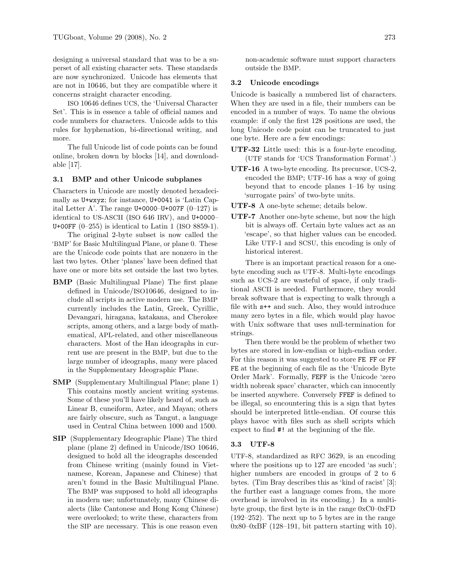designing a universal standard that was to be a superset of all existing character sets. These standards are now synchronized. Unicode has elements that are not in 10646, but they are compatible where it concerns straight character encoding.

ISO 10646 defines UCS, the 'Universal Character Set'. This is in essence a table of official names and code numbers for characters. Unicode adds to this rules for hyphenation, bi-directional writing, and more.

The full Unicode list of code points can be found online, broken down by blocks [\[14\]](#page-7-5), and downloadable [\[17\]](#page-7-6).

#### 3.1 BMP and other Unicode subplanes

Characters in Unicode are mostly denoted hexadecimally as U+wxyz; for instance, U+0041 is 'Latin Capital Letter A'. The range U+0000–U+007F  $(0-127)$  is identical to US-ASCII (ISO 646 IRV), and U+0000– U+00FF  $(0-255)$  is identical to Latin 1 (ISO 8859-1).

The original 2-byte subset is now called the 'BMP' for Basic Multilingual Plane, or plane 0. These are the Unicode code points that are nonzero in the last two bytes. Other 'planes' have been defined that have one or more bits set outside the last two bytes.

- BMP (Basic Multilingual Plane) The first plane defined in Unicode/ISO10646, designed to include all scripts in active modern use. The BMP currently includes the Latin, Greek, Cyrillic, Devangari, hiragana, katakana, and Cherokee scripts, among others, and a large body of mathematical, APL-related, and other miscellaneous characters. Most of the Han ideographs in current use are present in the BMP, but due to the large number of ideographs, many were placed in the Supplementary Ideographic Plane.
- SMP (Supplementary Multilingual Plane; plane 1) This contains mostly ancient writing systems. Some of these you'll have likely heard of, such as Linear B, cuneiform, Aztec, and Mayan; others are fairly obscure, such as Tangut, a language used in Central China between 1000 and 1500.
- SIP (Supplementary Ideographic Plane) The third plane (plane 2) defined in Unicode/ISO 10646, designed to hold all the ideographs descended from Chinese writing (mainly found in Vietnamese, Korean, Japanese and Chinese) that aren't found in the Basic Multilingual Plane. The BMP was supposed to hold all ideographs in modern use; unfortunately, many Chinese dialects (like Cantonese and Hong Kong Chinese) were overlooked; to write these, characters from the SIP are necessary. This is one reason even

non-academic software must support characters outside the BMP.

#### <span id="page-3-0"></span>3.2 Unicode encodings

Unicode is basically a numbered list of characters. When they are used in a file, their numbers can be encoded in a number of ways. To name the obvious example: if only the first 128 positions are used, the long Unicode code point can be truncated to just one byte. Here are a few encodings:

- UTF-32 Little used: this is a four-byte encoding. (UTF stands for 'UCS Transformation Format'.)
- UTF-16 A two-byte encoding. Its precursor, UCS-2, encoded the BMP; UTF-16 has a way of going beyond that to encode planes 1–16 by using 'surrogate pairs' of two-byte units.
- UTF-8 A one-byte scheme; details below.
- UTF-7 Another one-byte scheme, but now the high bit is always off. Certain byte values act as an 'escape', so that higher values can be encoded. Like UTF-1 and SCSU, this encoding is only of historical interest.

There is an important practical reason for a onebyte encoding such as UTF-8. Multi-byte encodings such as UCS-2 are wasteful of space, if only traditional ASCII is needed. Furthermore, they would break software that is expecting to walk through a file with s++ and such. Also, they would introduce many zero bytes in a file, which would play havoc with Unix software that uses null-termination for strings.

Then there would be the problem of whether two bytes are stored in low-endian or high-endian order. For this reason it was suggested to store FE FF or FF FE at the beginning of each file as the 'Unicode Byte Order Mark'. Formally, FEFF is the Unicode 'zero width nobreak space' character, which can innocently be inserted anywhere. Conversely FFEF is defined to be illegal, so encountering this is a sign that bytes should be interpreted little-endian. Of course this plays havoc with files such as shell scripts which expect to find #! at the beginning of the file.

#### 3.3 UTF-8

UTF-8, standardized as RFC 3629, is an encoding where the positions up to 127 are encoded 'as such'; higher numbers are encoded in groups of 2 to 6 bytes. (Tim Bray describes this as 'kind of racist' [\[3\]](#page-7-7): the further east a language comes from, the more overhead is involved in its encoding.) In a multibyte group, the first byte is in the range 0xC0–0xFD (192–252). The next up to 5 bytes are in the range  $0x80-0xBF$  (128–191, bit pattern starting with 10).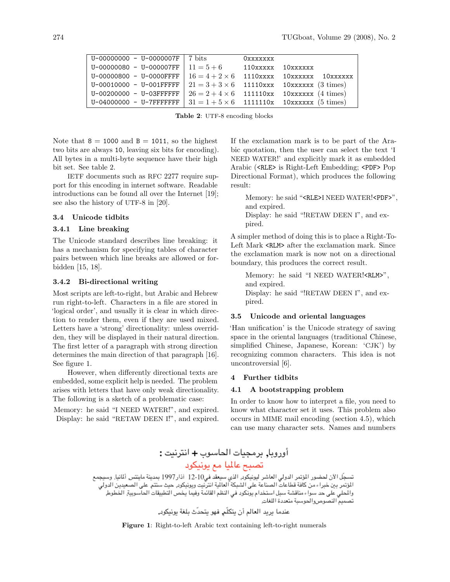| U-00000000 - U-0000007F   7 bits                                              | Oxxxxxxx |  |
|-------------------------------------------------------------------------------|----------|--|
| U-00000080 - U-000007FF $ 11 = 5 + 6$ 110xxxxx 10xxxxxx                       |          |  |
| U-00000800 - U-0000FFFF $\mid 16 = 4 + 2 \times 6$ 1110xxxx 10xxxxxx 10xxxxxx |          |  |
| U-00010000 - U-001FFFFF   $21 = 3 + 3 \times 6$ 11110xxx 10xxxxxx (3 times)   |          |  |
| U-00200000 - U-03FFFFFF $ 26 = 2 + 4 \times 6$ 111110xx 10xxxxxx (4 times)    |          |  |
| U-04000000 - U-7FFFFFFF   $31 = 1 + 5 \times 6$ 1111110x 10xxxxxx (5 times)   |          |  |
|                                                                               |          |  |

<span id="page-4-1"></span>Table 2: UTF-8 encoding blocks

Note that  $8 = 1000$  and  $B = 1011$ , so the highest two bits are always 10, leaving six bits for encoding). All bytes in a multi-byte sequence have their high bit set. See table [2.](#page-4-1)

IETF documents such as RFC 2277 require support for this encoding in internet software. Readable introductions can be found all over the Internet [\[19\]](#page-7-8); see also the history of UTF-8 in [\[20\]](#page-7-9).

### 3.4 Unicode tidbits

# 3.4.1 Line breaking

The Unicode standard describes line breaking: it has a mechanism for specifying tables of character pairs between which line breaks are allowed or forbidden [\[15,](#page-7-10) [18\]](#page-7-11).

#### 3.4.2 Bi-directional writing

Most scripts are left-to-right, but Arabic and Hebrew run right-to-left. Characters in a file are stored in 'logical order', and usually it is clear in which direction to render them, even if they are used mixed. Letters have a 'strong' directionality: unless overridden, they will be displayed in their natural direction. The first letter of a paragraph with strong direction determines the main direction of that paragraph [\[16\]](#page-7-12). See figure [1.](#page-4-2)

However, when differently directional texts are embedded, some explicit help is needed. The problem arises with letters that have only weak directionality. The following is a sketch of a problematic case:

Memory: he said "I NEED WATER!", and expired. Display: he said "RETAW DEEN I!", and expired. If the exclamation mark is to be part of the Arabic quotation, then the user can select the text 'I NEED WATER!' and explicitly mark it as embedded Arabic (<RLE> is Right-Left Embedding; <PDF> Pop Directional Format), which produces the following result:

Memory: he said "<RLE>I NEED WATER!<PDF>", and expired. Display: he said "!RETAW DEEN I", and expired.

A simpler method of doing this is to place a Right-To-Left Mark <RLM> after the exclamation mark. Since the exclamation mark is now not on a directional boundary, this produces the correct result.

Memory: he said "I NEED WATER!<RLM>", and expired. Display: he said "!RETAW DEEN I", and expired.

## 3.5 Unicode and oriental languages

'Han unification' is the Unicode strategy of saving space in the oriental languages (traditional Chinese, simplified Chinese, Japanese, Korean: 'CJK') by recognizing common characters. This idea is not uncontroversial [\[6\]](#page-7-13).

### 4 Further tidbits

#### <span id="page-4-0"></span>4.1 A bootstrapping problem

In order to know how to interpret a file, you need to know what character set it uses. This problem also occurs in MIME mail encoding (section [4.5\)](#page-5-0), which can use many character sets. Names and numbers

# أوروبا, برمجيات الحاسوب + انترنيت : تصيح عالما مع يونيكون

تسجّل الآن لحضور المؤتمر الدولي العاشر ليونيكود, الذي سيعقد في10-12 آذار1997 بمدينة ماينتس ألمانيا. وسيجمع<br>المؤتمر بين خبراء من كافة قطاعات الصناعة على الشبكة العالية انترنيت ويونيكود, حيث ستتم على الصعيدين الدولي والحلي على حد سواء مناقشة سبل إستخدام يونكود في النظم القائمة وفيما يخص التطبيقات الحاسوبية. الخطوط تصميم النصوص والحوسبة متعددة اللغات

<span id="page-4-2"></span>عندما يريد العالم أن يتكلَّم فهو يتحدَّث بلغة يونيكود.

Figure 1: Right-to-left Arabic text containing left-to-right numerals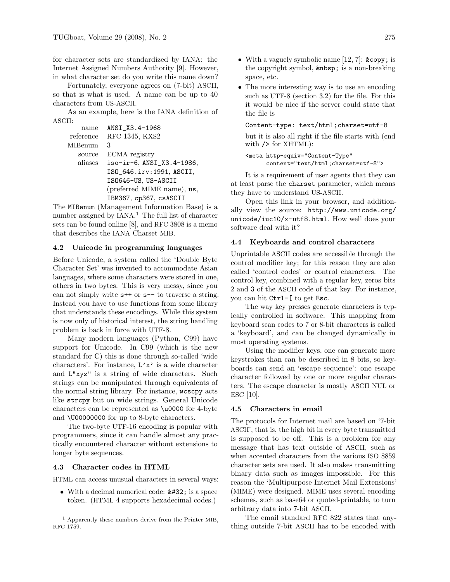for character sets are standardized by IANA: the Internet Assigned Numbers Authority [\[9\]](#page-7-14). However, in what character set do you write this name down?

Fortunately, everyone agrees on (7-bit) ASCII, so that is what is used. A name can be up to 40 characters from US-ASCII.

As an example, here is the IANA definition of ASCII:

```
name ANSI_X3.4-1968
reference RFC 1345, KXS2
MIBenum 3
  source ECMA registry
  aliases iso-ir-6, ANSI_X3.4-1986,
          ISO_646.irv:1991, ASCII,
          ISO646-US, US-ASCII
          (preferred MIME name), us,
          IBM367, cp367, csASCII
```
The MIBenum (Management Information Base) is a number assigned by  $IANA<sup>1</sup>$ . The full list of character sets can be found online [\[8\]](#page-7-15), and RFC 3808 is a memo that describes the IANA Charset MIB.

### 4.2 Unicode in programming languages

Before Unicode, a system called the 'Double Byte Character Set' was invented to accommodate Asian languages, where some characters were stored in one, others in two bytes. This is very messy, since you can not simply write  $s++$  or  $s--$  to traverse a string. Instead you have to use functions from some library that understands these encodings. While this system is now only of historical interest, the string handling problem is back in force with UTF-8.

Many modern languages (Python, C99) have support for Unicode. In C99 (which is the new standard for C) this is done through so-called 'wide characters'. For instance,  $L'x'$  is a wide character and L"xyz" is a string of wide characters. Such strings can be manipulated through equivalents of the normal string library. For instance, wcscpy acts like strcpy but on wide strings. General Unicode characters can be represented as \u0000 for 4-byte and \U00000000 for up to 8-byte characters.

The two-byte UTF-16 encoding is popular with programmers, since it can handle almost any practically encountered character without extensions to longer byte sequences.

#### 4.3 Character codes in HTML

HTML can access unusual characters in several ways:

• With a decimal numerical code:  $&\#32$ ; is a space token. (HTML 4 supports hexadecimal codes.)

- With a vaguely symbolic name  $[12, 7]$  $[12, 7]$  $[12, 7]$ : & copy; is the copyright symbol,  $\$ ; is a non-breaking space, etc.
- The more interesting way is to use an encoding such as UTF-8 (section [3.2\)](#page-3-0) for the file. For this it would be nice if the server could state that the file is

Content-type: text/html;charset=utf-8

but it is also all right if the file starts with (end with /> for XHTML):

<meta http-equiv="Content-Type" content="text/html;charset=utf-8">

It is a requirement of user agents that they can at least parse the charset parameter, which means they have to understand US-ASCII.

Open this link in your browser, and additionally view the source: [http://www.unicode.org/](http://www.unicode.org/unicode/iuc10/x-utf8.html) [unicode/iuc10/x-utf8.html](http://www.unicode.org/unicode/iuc10/x-utf8.html). How well does your software deal with it?

# 4.4 Keyboards and control characters

Unprintable ASCII codes are accessible through the control modifier key; for this reason they are also called 'control codes' or control characters. The control key, combined with a regular key, zeros bits 2 and 3 of the ASCII code of that key. For instance, you can hit Ctrl-[ to get Esc.

The way key presses generate characters is typically controlled in software. This mapping from keyboard scan codes to 7 or 8-bit characters is called a 'keyboard', and can be changed dynamically in most operating systems.

Using the modifier keys, one can generate more keystrokes than can be described in 8 bits, so keyboards can send an 'escape sequence': one escape character followed by one or more regular characters. The escape character is mostly ASCII NUL or ESC [\[10\]](#page-7-18).

# <span id="page-5-0"></span>4.5 Characters in email

The protocols for Internet mail are based on '7-bit ASCII', that is, the high bit in every byte transmitted is supposed to be off. This is a problem for any message that has text outside of ASCII, such as when accented characters from the various ISO 8859 character sets are used. It also makes transmitting binary data such as images impossible. For this reason the 'Multipurpose Internet Mail Extensions' (MIME) were designed. MIME uses several encoding schemes, such as base64 or quoted-printable, to turn arbitrary data into 7-bit ASCII.

The email standard RFC 822 states that anything outside 7-bit ASCII has to be encoded with

 $<sup>1</sup>$  Apparently these numbers derive from the Printer MIB,</sup> RFC 1759.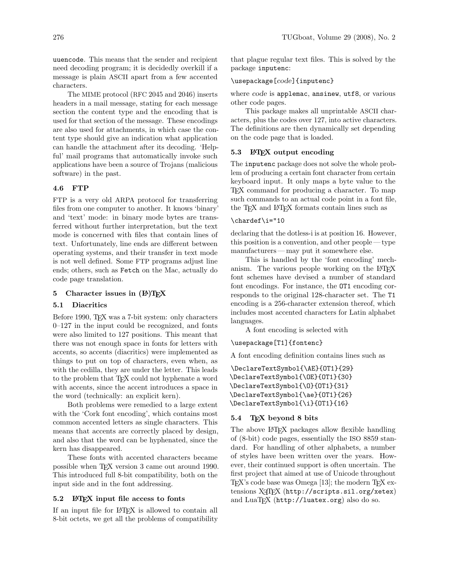uuencode. This means that the sender and recipient need decoding program; it is decidedly overkill if a message is plain ASCII apart from a few accented characters.

The MIME protocol (RFC 2045 and 2046) inserts headers in a mail message, stating for each message section the content type and the encoding that is used for that section of the message. These encodings are also used for attachments, in which case the content type should give an indication what application can handle the attachment after its decoding. 'Helpful' mail programs that automatically invoke such applications have been a source of Trojans (malicious software) in the past.

# 4.6 FTP

FTP is a very old ARPA protocol for transferring files from one computer to another. It knows 'binary' and 'text' mode: in binary mode bytes are transferred without further interpretation, but the text mode is concerned with files that contain lines of text. Unfortunately, line ends are different between operating systems, and their transfer in text mode is not well defined. Some FTP programs adjust line ends; others, such as Fetch on the Mac, actually do code page translation.

# 5 Character issues in  $(A)$ TEX

# 5.1 Diacritics

Before 1990, TEX was a 7-bit system: only characters 0–127 in the input could be recognized, and fonts were also limited to 127 positions. This meant that there was not enough space in fonts for letters with accents, so accents (diacritics) were implemented as things to put on top of characters, even when, as with the cedilla, they are under the letter. This leads to the problem that T<sub>E</sub>X could not hyphenate a word with accents, since the accent introduces a space in the word (technically: an explicit kern).

Both problems were remedied to a large extent with the 'Cork font encoding', which contains most common accented letters as single characters. This means that accents are correctly placed by design, and also that the word can be hyphenated, since the kern has disappeared.

These fonts with accented characters became possible when TEX version 3 came out around 1990. This introduced full 8-bit compatibility, both on the input side and in the font addressing.

## 5.2 LAT<sub>F</sub>X input file access to fonts

If an input file for LATEX is allowed to contain all 8-bit octets, we get all the problems of compatibility that plague regular text files. This is solved by the package inputenc:

## \usepackage[code]{inputenc}

where code is applemac, ansinew, utf8, or various other code pages.

This package makes all unprintable ASCII characters, plus the codes over 127, into active characters. The definitions are then dynamically set depending on the code page that is loaded.

# 5.3 **LATEX** output encoding

The inputenc package does not solve the whole problem of producing a certain font character from certain keyboard input. It only maps a byte value to the TEX command for producing a character. To map such commands to an actual code point in a font file, the T<sub>EX</sub> and L<sup>AT</sup>EX formats contain lines such as

#### \chardef\i="10

declaring that the dotless-i is at position 16. However, this position is a convention, and other people — type manufacturers — may put it somewhere else.

This is handled by the 'font encoding' mechanism. The various people working on the LAT<sub>EX</sub> font schemes have devised a number of standard font encodings. For instance, the OT1 encoding corresponds to the original 128-character set. The T1 encoding is a 256-character extension thereof, which includes most accented characters for Latin alphabet languages.

A font encoding is selected with

\usepackage[T1]{fontenc}

A font encoding definition contains lines such as

```
\DeclareTextSymbol{\AE}{OT1}{29}
\DeclareTextSymbol{\OE}{OT1}{30}
\DeclareTextSymbol{\O}{OT1}{31}
\DeclareTextSymbol{\ae}{OT1}{26}
\DeclareTextSymbol{\i}{OT1}{16}
```
#### 5.4 TEX beyond 8 bits

The above LAT<sub>EX</sub> packages allow flexible handling of (8-bit) code pages, essentially the ISO 8859 standard. For handling of other alphabets, a number of styles have been written over the years. However, their continued support is often uncertain. The first project that aimed at use of Unicode throughout T<sub>EX</sub>'s code base was Omega [\[13\]](#page-7-19); the modern T<sub>EX</sub> extensions X<sub>H</sub>T<sub>E</sub>X (<http://scripts.sil.org/xetex>) and LuaTEX (<http://luatex.org>) also do so.